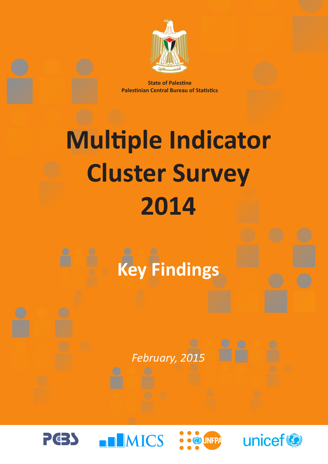

**State of Palestine Palestinian Central Bureau of Statistics**

# **Multiple Indicator Cluster Survey 2014**



## *February, 2015*

**IMICS** 





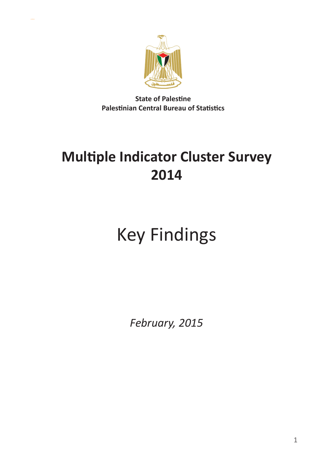

**State of Palestine Palestinian Central Bureau of Statistics**

## **Multiple Indicator Cluster Survey 2014**

## Key Findings

*February, 2015*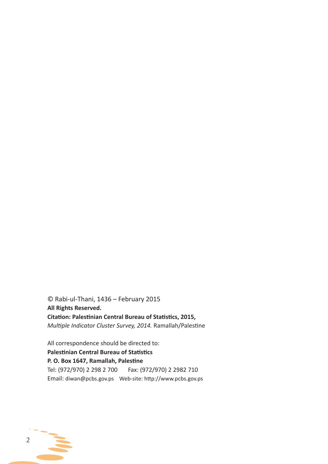© Rabi-ul-Thani, 1436 – February 2015 **All Rights Reserved. Citation: Palestinian Central Bureau of Statistics, 2015,**  *Multiple Indicator Cluster Survey, 2014.* Ramallah/Palestine

All correspondence should be directed to: **Palestinian Central Bureau of Statistics P. O. Box 1647, Ramallah, Palestine** Tel: (972/970) 2 298 2 700 Fax: (972/970) 2 2982 710 Email: diwan@pcbs.gov.ps Web-site: http://www.pcbs.gov.ps

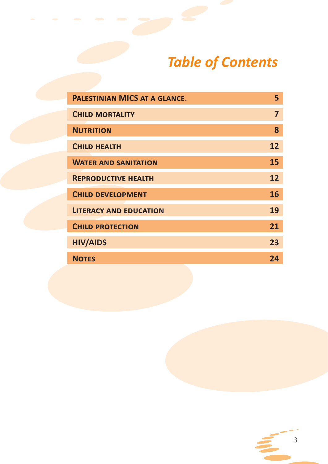## *Table of Contents*

| <b>PALESTINIAN MICS AT A GLANCE.</b> | 5  |
|--------------------------------------|----|
| <b>CHILD MORTALITY</b>               | 7  |
| <b>NUTRITION</b>                     | 8  |
| <b>CHILD HEALTH</b>                  | 12 |
| <b>WATER AND SANITATION</b>          | 15 |
| <b>REPRODUCTIVE HEALTH</b>           | 12 |
| <b>CHILD DEVELOPMENT</b>             | 16 |
| <b>LITERACY AND EDUCATION</b>        | 19 |
| <b>CHILD PROTECTION</b>              | 21 |
| <b>HIV/AIDS</b>                      | 23 |
| <b>NOTES</b>                         | 24 |

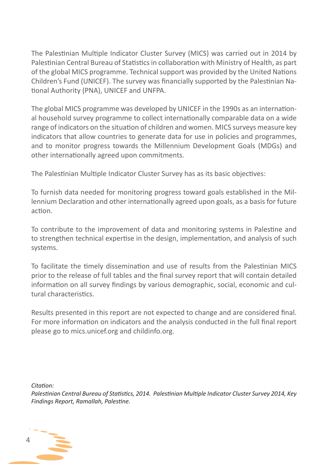The Palestinian Multiple Indicator Cluster Survey (MICS) was carried out in 2014 by Palestinian Central Bureau of Statistics in collaboration with Ministry of Health, as part of the global MICS programme. Technical support was provided by the United Nations Children's Fund (UNICEF). The survey was financially supported by the Palestinian National Authority (PNA), UNICEF and UNFPA.

The global MICS programme was developed by UNICEF in the 1990s as an international household survey programme to collect internationally comparable data on a wide range of indicators on the situation of children and women. MICS surveys measure key indicators that allow countries to generate data for use in policies and programmes, and to monitor progress towards the Millennium Development Goals (MDGs) and other internationally agreed upon commitments.

The Palestinian Multiple Indicator Cluster Survey has as its basic objectives:

To furnish data needed for monitoring progress toward goals established in the Millennium Declaration and other internationally agreed upon goals, as a basis for future action.

To contribute to the improvement of data and monitoring systems in Palestine and to strengthen technical expertise in the design, implementation, and analysis of such systems.

To facilitate the timely dissemination and use of results from the Palestinian MICS prior to the release of full tables and the final survey report that will contain detailed information on all survey findings by various demographic, social, economic and cultural characteristics.

Results presented in this report are not expected to change and are considered final. For more information on indicators and the analysis conducted in the full final report please go to mics.unicef.org and childinfo.org.

*Citation:*

*Palestinian Central Bureau of Statistics, 2014. Palestinian Multiple Indicator Cluster Survey 2014, Key Findings Report, Ramallah, Palestine.*

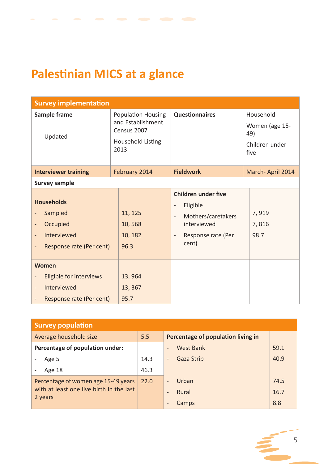## **Palestinian MICS at a glance**

| <b>Survey implementation</b>                                                             |                                                                                            |                                                                                                                                                                                      |                                                              |  |  |  |
|------------------------------------------------------------------------------------------|--------------------------------------------------------------------------------------------|--------------------------------------------------------------------------------------------------------------------------------------------------------------------------------------|--------------------------------------------------------------|--|--|--|
| Sample frame<br>Updated                                                                  | <b>Population Housing</b><br>and Establishment<br>Census 2007<br>Household Listing<br>2013 | <b>Questionnaires</b>                                                                                                                                                                | Household<br>Women (age 15-<br>49)<br>Children under<br>five |  |  |  |
| <b>Interviewer training</b>                                                              | February 2014                                                                              | <b>Fieldwork</b>                                                                                                                                                                     | March-April 2014                                             |  |  |  |
| <b>Survey sample</b>                                                                     |                                                                                            |                                                                                                                                                                                      |                                                              |  |  |  |
| <b>Households</b><br>Sampled<br>Occupied<br>-<br>Interviewed<br>Response rate (Per cent) | 11, 125<br>10,568<br>10, 182<br>96.3                                                       | <b>Children under five</b><br>Eligible<br>$\overline{\phantom{a}}$<br>Mothers/caretakers<br>$\blacksquare$<br>interviewed<br>Response rate (Per<br>$\overline{\phantom{a}}$<br>cent) | 7,919<br>7,816<br>98.7                                       |  |  |  |
| <b>Women</b><br>Eligible for interviews<br>Interviewed<br>Response rate (Per cent)       | 13,964<br>13, 367<br>95.7                                                                  |                                                                                                                                                                                      |                                                              |  |  |  |

| <b>Survey population</b>                 |      |                                        |      |  |  |  |
|------------------------------------------|------|----------------------------------------|------|--|--|--|
| Average household size                   | 5.5  | Percentage of population living in     |      |  |  |  |
| Percentage of population under:          |      | <b>West Bank</b>                       | 59.1 |  |  |  |
| Age 5                                    | 14.3 | <b>Gaza Strip</b><br>$\qquad \qquad -$ | 40.9 |  |  |  |
| Age 18                                   | 46.3 |                                        |      |  |  |  |
| Percentage of women age 15-49 years      | 22.0 | Urban                                  | 74.5 |  |  |  |
| with at least one live birth in the last |      | Rural                                  | 16.7 |  |  |  |
| 2 years                                  |      | Camps                                  | 8.8  |  |  |  |

5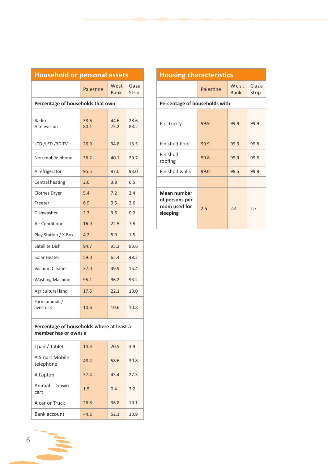| <b>Household or personal assets</b>                               |              |                     |               |
|-------------------------------------------------------------------|--------------|---------------------|---------------|
|                                                                   | Palestine    | West<br><b>Bank</b> | Gaza<br>Strip |
| Percentage of households that own                                 |              |                     |               |
| Radio<br>A television                                             | 38.6<br>80.1 | 44.6<br>75.2        | 28.6<br>88.2  |
| LCD /LED /3D TV                                                   | 26.9         | 34.8                | 13.5          |
| Non-mobile phone                                                  | 36.2         | 40.1                | 29.7          |
| A refrigerator                                                    | 95.5         | 97.0                | 93.0          |
| Central heating                                                   | 2.6          | 3.8                 | 0.5           |
| Clothes Dryer                                                     | 5.4          | 7.2                 | 2.4           |
| Freezer                                                           | 6.9          | 9.5                 | 2.6           |
| Dishwasher                                                        | 2.3          | 3.6                 | 0.2           |
| Air Conditioner                                                   | 16.9         | 22.5                | 7.5           |
| Play Station / X-Box                                              | 4.2          | 5.9                 | 1.5           |
| Satellite Dish                                                    | 94.7         | 95.3                | 93.6          |
| Solar Heater                                                      | 59.0         | 65.4                | 48.2          |
| Vacuum Cleaner                                                    | 37.0         | 49.9                | 15.4          |
| <b>Washing Machine</b>                                            | 95.1         | 96.2                | 93.2          |
| Agricultural land                                                 | 17.6         | 22.1                | 10.0          |
| Farm animals/<br>livestock                                        | 10.6         | 10.6                | 10.8          |
| Percentage of households where at least a<br>member has or owns a |              |                     |               |
| I pad / Tablet                                                    | 14.3         | 20.5                | 3.9           |
| A Smart Mobile<br>telephone                                       | 48.2         | 58.6                | 30.8          |
| A Laptop                                                          | 37.4         | 43.4                | 27.3          |
| Animal - Drawn<br>cart                                            | 1.5          | 0.4                 | 3.2           |
| A car or Truck                                                    | 26.8         | 36.8                | 10.1          |
| Bank account                                                      | 44.2         | 52.1                | 30.9          |

|               | <b>Housing characteristics</b>  |           |                     |               |  |  |  |  |
|---------------|---------------------------------|-----------|---------------------|---------------|--|--|--|--|
| Gaza<br>Strip |                                 | Palestine | West<br><b>Bank</b> | Gaza<br>Strip |  |  |  |  |
|               | Percentage of households with   |           |                     |               |  |  |  |  |
| 28.6<br>88.2  | Electricity                     | 99.9      | 99.9                | 99.9          |  |  |  |  |
| 13.5          | Finished floor                  | 99.9      | 99.9                | 99.8          |  |  |  |  |
| 29.7          | Finished<br>roofing             | 99.8      | 99.9                | 99.8          |  |  |  |  |
| 93.0          | <b>Finished walls</b>           | 99.0      | 98.5                | 99.8          |  |  |  |  |
| 0.5           |                                 |           |                     |               |  |  |  |  |
| 2.4           | Mean number                     |           |                     |               |  |  |  |  |
| 2.6           | of persons per<br>room used for |           |                     |               |  |  |  |  |
| 0.2           | sleeping                        | 2.5       | 2.4                 | 2.7           |  |  |  |  |
| 7.5           |                                 |           |                     |               |  |  |  |  |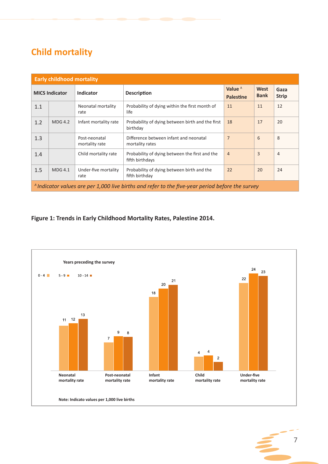### **Child mortality**

| <b>Early childhood mortality</b> |                       |                                 |                                                                                                  |                               |                     |                      |
|----------------------------------|-----------------------|---------------------------------|--------------------------------------------------------------------------------------------------|-------------------------------|---------------------|----------------------|
|                                  | <b>MICS Indicator</b> | <b>Indicator</b>                | <b>Description</b>                                                                               | Value $A$<br><b>Palestine</b> | West<br><b>Bank</b> | Gaza<br><b>Strip</b> |
| 1.1                              |                       | Neonatal mortality<br>rate      | Probability of dying within the first month of<br>life                                           | 11                            | 11                  | 12                   |
| 1.2                              | <b>MDG 4.2</b>        | Infant mortality rate           | Probability of dying between birth and the first<br>birthday                                     | 18                            | 17                  | 20                   |
| 1.3                              |                       | Post-neonatal<br>mortality rate | Difference between infant and neonatal<br>mortality rates                                        | $\overline{7}$                | 6                   | 8                    |
| 1.4                              |                       | Child mortality rate            | Probability of dying between the first and the<br>fifth birthdays                                | $\overline{4}$                | $\overline{3}$      | 4                    |
| 1.5                              | <b>MDG 4.1</b>        | Under-five mortality<br>rate    | Probability of dying between birth and the<br>fifth birthday                                     | 22                            | 20                  | 24                   |
|                                  |                       |                                 | A Indicator values are per 1,000 live births and refer to the five-year period before the survey |                               |                     |                      |

#### **Figure 1: Trends in Early Childhood Mortality Rates, Palestine 2014.**

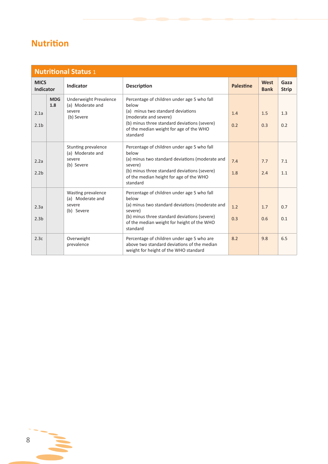## **Nutrition**

|                                 | <b>Nutritional Status 1</b> |                                                                    |                                                                                                                                                                                                                              |                  |                     |                      |  |  |
|---------------------------------|-----------------------------|--------------------------------------------------------------------|------------------------------------------------------------------------------------------------------------------------------------------------------------------------------------------------------------------------------|------------------|---------------------|----------------------|--|--|
| <b>MICS</b><br><b>Indicator</b> |                             | Indicator                                                          | <b>Description</b>                                                                                                                                                                                                           | <b>Palestine</b> | West<br><b>Bank</b> | Gaza<br><b>Strip</b> |  |  |
| 2.1a<br>2.1 <sub>b</sub>        | <b>MDG</b><br>1.8           | Underweight Prevalence<br>(a) Moderate and<br>severe<br>(b) Severe | Percentage of children under age 5 who fall<br>below<br>(a) minus two standard deviations<br>(moderate and severe)<br>(b) minus three standard deviations (severe)<br>of the median weight for age of the WHO<br>standard    | 1.4<br>0.2       | 1.5<br>0.3          | 1.3<br>0.2           |  |  |
| 2.2a<br>2.2 <sub>b</sub>        |                             | Stunting prevalence<br>(a) Moderate and<br>severe<br>(b) Severe    | Percentage of children under age 5 who fall<br>helow<br>(a) minus two standard deviations (moderate and<br>severe)<br>(b) minus three standard deviations (severe)<br>of the median height for age of the WHO<br>standard    | 7.4<br>1.8       | 7.7<br>2.4          | 7.1<br>1.1           |  |  |
| 2.3a<br>2.3 <sub>b</sub>        |                             | Wasting prevalence<br>(a) Moderate and<br>severe<br>(b) Severe     | Percentage of children under age 5 who fall<br>helow<br>(a) minus two standard deviations (moderate and<br>severe)<br>(b) minus three standard deviations (severe)<br>of the median weight for height of the WHO<br>standard | 1.2<br>0.3       | 1.7<br>0.6          | 0.7<br>0.1           |  |  |
| 2.3c                            |                             | Overweight<br>prevalence                                           | Percentage of children under age 5 who are<br>above two standard deviations of the median<br>weight for height of the WHO standard                                                                                           | 8.2              | 9.8                 | 6.5                  |  |  |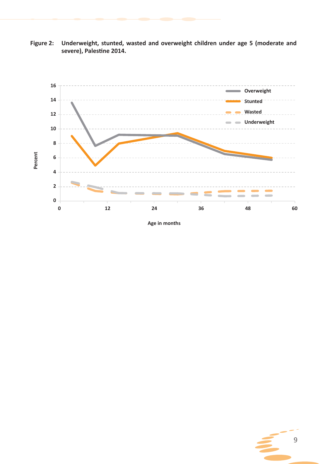



**Age in months**

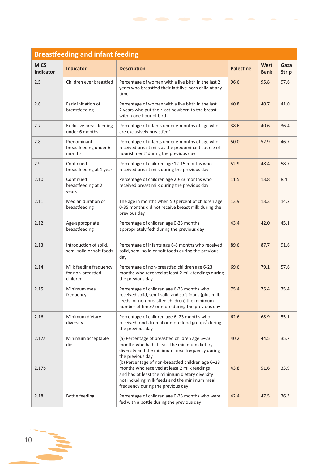| <b>Breastfeeding and infant feeding</b> |                                                         |                                                                                                                                                                                                                                                                                                                                                                                                                  |                  |                            |                      |  |  |  |
|-----------------------------------------|---------------------------------------------------------|------------------------------------------------------------------------------------------------------------------------------------------------------------------------------------------------------------------------------------------------------------------------------------------------------------------------------------------------------------------------------------------------------------------|------------------|----------------------------|----------------------|--|--|--|
| <b>MICS</b><br>Indicator                | <b>Indicator</b>                                        | <b>Description</b>                                                                                                                                                                                                                                                                                                                                                                                               | <b>Palestine</b> | <b>West</b><br><b>Bank</b> | Gaza<br><b>Strip</b> |  |  |  |
| 2.5                                     | Children ever breastfed                                 | Percentage of women with a live birth in the last 2<br>years who breastfed their last live-born child at any<br>time                                                                                                                                                                                                                                                                                             | 96.6             | 95.8                       | 97.6                 |  |  |  |
| 2.6                                     | Early initiation of<br>breastfeeding                    | Percentage of women with a live birth in the last<br>2 years who put their last newborn to the breast<br>within one hour of birth                                                                                                                                                                                                                                                                                | 40.8             | 40.7                       | 41.0                 |  |  |  |
| 2.7                                     | <b>Exclusive breastfeeding</b><br>under 6 months        | Percentage of infants under 6 months of age who<br>are exclusively breastfed <sup>2</sup>                                                                                                                                                                                                                                                                                                                        | 38.6             | 40.6                       | 36.4                 |  |  |  |
| 2.8                                     | Predominant<br>breastfeeding under 6<br>months          | Percentage of infants under 6 months of age who<br>received breast milk as the predominant source of<br>nourishment <sup>3</sup> during the previous day                                                                                                                                                                                                                                                         | 50.0             | 52.9                       | 46.7                 |  |  |  |
| 2.9                                     | Continued<br>breastfeeding at 1 year                    | Percentage of children age 12-15 months who<br>received breast milk during the previous day                                                                                                                                                                                                                                                                                                                      | 52.9             | 48.4                       | 58.7                 |  |  |  |
| 2.10                                    | Continued<br>breastfeeding at 2<br>years                | Percentage of children age 20-23 months who<br>received breast milk during the previous day                                                                                                                                                                                                                                                                                                                      | 11.5             | 13.8                       | 8.4                  |  |  |  |
| 2.11                                    | Median duration of<br>breastfeeding                     | The age in months when 50 percent of children age<br>0-35 months did not receive breast milk during the<br>previous day                                                                                                                                                                                                                                                                                          | 13.9             | 13.3                       | 14.2                 |  |  |  |
| 2.12                                    | Age-appropriate<br>breastfeeding                        | Percentage of children age 0-23 months<br>appropriately fed <sup>4</sup> during the previous day                                                                                                                                                                                                                                                                                                                 | 43.4             | 42.0                       | 45.1                 |  |  |  |
| 2.13                                    | Introduction of solid,<br>semi-solid or soft foods      | Percentage of infants age 6-8 months who received<br>solid, semi-solid or soft foods during the previous<br>day                                                                                                                                                                                                                                                                                                  | 89.6             | 87.7                       | 91.6                 |  |  |  |
| 2.14                                    | Milk feeding frequency<br>for non-breastfed<br>children | Percentage of non-breastfed children age 6-23<br>months who received at least 2 milk feedings during<br>the previous day                                                                                                                                                                                                                                                                                         | 69.6             | 79.1                       | 57.6                 |  |  |  |
| 2.15                                    | Minimum meal<br>frequency                               | Percentage of children age 6-23 months who<br>received solid, semi-solid and soft foods (plus milk<br>feeds for non-breastfed children) the minimum<br>number of times <sup>5</sup> or more during the previous day                                                                                                                                                                                              | 75.4             | 75.4                       | 75.4                 |  |  |  |
| 2.16                                    | Minimum dietary<br>diversity                            | Percentage of children age 6-23 months who<br>received foods from 4 or more food groups <sup>6</sup> during<br>the previous day                                                                                                                                                                                                                                                                                  | 62.6             | 68.9                       | 55.1                 |  |  |  |
| 2.17a<br>2.17 <sub>b</sub>              | Minimum acceptable<br>diet                              | (a) Percentage of breastfed children age 6-23<br>months who had at least the minimum dietary<br>diversity and the minimum meal frequency during<br>the previous day<br>(b) Percentage of non-breastfed children age 6-23<br>months who received at least 2 milk feedings<br>and had at least the minimum dietary diversity<br>not including milk feeds and the minimum meal<br>frequency during the previous day | 40.2<br>43.8     | 44.5<br>51.6               | 35.7<br>33.9         |  |  |  |
| 2.18                                    | <b>Bottle feeding</b>                                   | Percentage of children age 0-23 months who were<br>fed with a bottle during the previous day                                                                                                                                                                                                                                                                                                                     | 42.4             | 47.5                       | 36.3                 |  |  |  |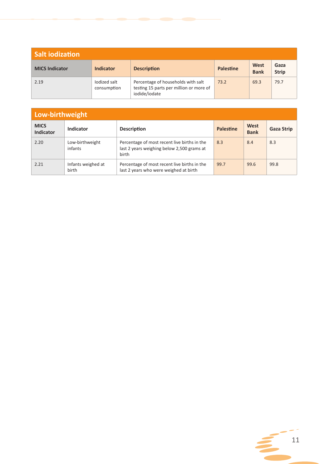| <b>Salt iodization</b> |                             |                                                                                                |                  |                     |                      |  |  |
|------------------------|-----------------------------|------------------------------------------------------------------------------------------------|------------------|---------------------|----------------------|--|--|
| <b>MICS Indicator</b>  | <b>Indicator</b>            | <b>Description</b>                                                                             | <b>Palestine</b> | West<br><b>Bank</b> | Gaza<br><b>Strip</b> |  |  |
| 2.19                   | lodized salt<br>consumption | Percentage of households with salt<br>testing 15 parts per million or more of<br>iodide/iodate | 73.2             | 69.3                | 79.7                 |  |  |

| Low-birthweight                 |                             |                                                                                                     |                  |                     |                   |  |  |
|---------------------------------|-----------------------------|-----------------------------------------------------------------------------------------------------|------------------|---------------------|-------------------|--|--|
| <b>MICS</b><br><b>Indicator</b> | Indicator                   | <b>Description</b>                                                                                  | <b>Palestine</b> | West<br><b>Bank</b> | <b>Gaza Strip</b> |  |  |
| 2.20                            | Low-birthweight<br>infants  | Percentage of most recent live births in the<br>last 2 years weighing below 2,500 grams at<br>birth | 8.3              | 8.4                 | 8.3               |  |  |
| 2.21                            | Infants weighed at<br>birth | Percentage of most recent live births in the<br>last 2 years who were weighed at birth              | 99.7             | 99.6                | 99.8              |  |  |

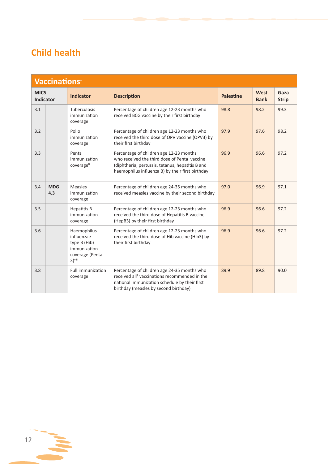### **Child health**

|                                 | <b>Vaccinations</b> <sup>7</sup> |                                                                                                      |                                                                                                                                                                                                    |                  |                     |                      |  |  |
|---------------------------------|----------------------------------|------------------------------------------------------------------------------------------------------|----------------------------------------------------------------------------------------------------------------------------------------------------------------------------------------------------|------------------|---------------------|----------------------|--|--|
| <b>MICS</b><br><b>Indicator</b> |                                  | <b>Indicator</b>                                                                                     | <b>Description</b>                                                                                                                                                                                 | <b>Palestine</b> | West<br><b>Bank</b> | Gaza<br><b>Strip</b> |  |  |
| 3.1                             |                                  | Tuberculosis<br>immunization<br>coverage                                                             | Percentage of children age 12-23 months who<br>received BCG vaccine by their first birthday                                                                                                        | 98.8             | 98.2                | 99.3                 |  |  |
| 3.2                             |                                  | Polio<br>immunization<br>coverage                                                                    | Percentage of children age 12-23 months who<br>received the third dose of OPV vaccine (OPV3) by<br>their first birthday                                                                            | 97.9             | 97.6                | 98.2                 |  |  |
| 3.3                             |                                  | Penta<br>immunization<br>coverage <sup>8</sup>                                                       | Percentage of children age 12-23 months<br>who received the third dose of Penta vaccine<br>(diphtheria, pertussis, tetanus, hepatitis B and<br>haemophilus influenza B) by their first birthday    | 96.9             | 96.6                | 97.2                 |  |  |
| 3.4                             | <b>MDG</b><br>4.3                | Measles<br>immunization<br>coverage                                                                  | Percentage of children age 24-35 months who<br>received measles vaccine by their second birthday                                                                                                   | 97.0             | 96.9                | 97.1                 |  |  |
| 3.5                             |                                  | Hepatitis B<br>immunization<br>coverage                                                              | Percentage of children age 12-23 months who<br>received the third dose of Hepatitis B vaccine<br>(HepB3) by their first birthday                                                                   | 96.9             | 96.6                | 97.2                 |  |  |
| 3.6                             |                                  | Haemophilus<br>influenzae<br>type B (Hib)<br>immunization<br>coverage (Penta<br>$3)$ <sup>viii</sup> | Percentage of children age 12-23 months who<br>received the third dose of Hib vaccine (Hib3) by<br>their first birthday                                                                            | 96.9             | 96.6                | 97.2                 |  |  |
| 3.8                             |                                  | <b>Full immunization</b><br>coverage                                                                 | Percentage of children age 24-35 months who<br>received all <sup>9</sup> vaccinations recommended in the<br>national immunization schedule by their first<br>birthday (measles by second birthday) | 89.9             | 89.8                | 90.0                 |  |  |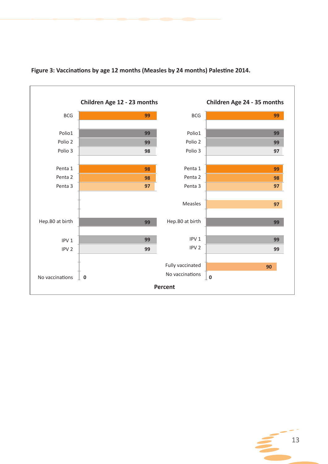

#### **Figure 3: Vaccinations by age 12 months (Measles by 24 months) Palestine 2014.**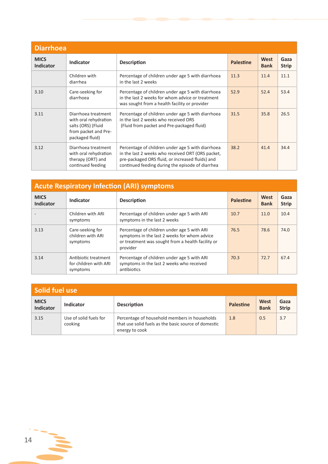| <b>Diarrhoea</b>                |                                                                                                               |                                                                                                                                                                                                                |                  |                     |                      |  |  |
|---------------------------------|---------------------------------------------------------------------------------------------------------------|----------------------------------------------------------------------------------------------------------------------------------------------------------------------------------------------------------------|------------------|---------------------|----------------------|--|--|
| <b>MICS</b><br><b>Indicator</b> | <b>Indicator</b>                                                                                              | <b>Description</b>                                                                                                                                                                                             | <b>Palestine</b> | West<br><b>Bank</b> | Gaza<br><b>Strip</b> |  |  |
|                                 | Children with<br>diarrhea                                                                                     | Percentage of children under age 5 with diarrhoea<br>in the last 2 weeks                                                                                                                                       | 11.3             | 11.4                | 11.1                 |  |  |
| 3.10                            | Care-seeking for<br>diarrhoea                                                                                 | Percentage of children under age 5 with diarrhoea<br>in the last 2 weeks for whom advice or treatment<br>was sought from a health facility or provider                                                         | 52.9             | 52.4                | 53.4                 |  |  |
| 3.11                            | Diarrhoea treatment<br>with oral rehydration<br>salts (ORS) (Fluid<br>from packet and Pre-<br>packaged fluid) | Percentage of children under age 5 with diarrhoea<br>in the last 2 weeks who received ORS<br>(Fluid from packet and Pre-packaged fluid)                                                                        | 31.5             | 35.8                | 26.5                 |  |  |
| 3.12                            | Diarrhoea treatment<br>with oral rehydration<br>therapy (ORT) and<br>continued feeding                        | Percentage of children under age 5 with diarrhoea<br>in the last 2 weeks who received ORT (ORS packet,<br>pre-packaged ORS fluid, or increased fluids) and<br>continued feeding during the episode of diarrhea | 38.2             | 41.4                | 34.4                 |  |  |

| <b>Acute Respiratory Infection (ARI) symptoms</b> |                                                           |                                                                                                                                                              |                  |                     |                      |  |  |  |  |  |
|---------------------------------------------------|-----------------------------------------------------------|--------------------------------------------------------------------------------------------------------------------------------------------------------------|------------------|---------------------|----------------------|--|--|--|--|--|
| <b>MICS</b><br><b>Indicator</b>                   | Indicator                                                 | <b>Description</b>                                                                                                                                           | <b>Palestine</b> | West<br><b>Bank</b> | Gaza<br><b>Strip</b> |  |  |  |  |  |
|                                                   | Children with ARI<br>symptoms                             | Percentage of children under age 5 with ARI<br>symptoms in the last 2 weeks                                                                                  | 10.7             | 11.0                | 10.4                 |  |  |  |  |  |
| 3.13                                              | Care-seeking for<br>children with ARI<br>symptoms         | Percentage of children under age 5 with ARI<br>symptoms in the last 2 weeks for whom advice<br>or treatment was sought from a health facility or<br>provider | 76.5             | 78.6                | 74.0                 |  |  |  |  |  |
| 3.14                                              | Antibiotic treatment<br>for children with ARI<br>symptoms | Percentage of children under age 5 with ARI<br>symptoms in the last 2 weeks who received<br>antibiotics                                                      | 70.3             | 72.7                | 67.4                 |  |  |  |  |  |

| Solid fuel use                  |                                   |                                                                                                                         |                  |                     |                      |  |  |  |  |
|---------------------------------|-----------------------------------|-------------------------------------------------------------------------------------------------------------------------|------------------|---------------------|----------------------|--|--|--|--|
| <b>MICS</b><br><b>Indicator</b> | Indicator                         | <b>Description</b>                                                                                                      | <b>Palestine</b> | West<br><b>Bank</b> | Gaza<br><b>Strip</b> |  |  |  |  |
| 3.15                            | Use of solid fuels for<br>cooking | Percentage of household members in households<br>that use solid fuels as the basic source of domestic<br>energy to cook | 1.8              | 0.5                 | 3.7                  |  |  |  |  |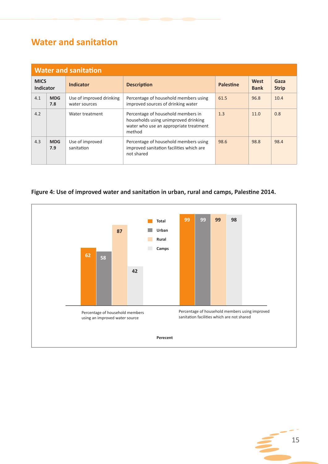### **Water and sanitation**

| <b>Water and sanitation</b>     |                   |                                           |                                                                                                                                |                  |                     |                      |  |  |  |  |  |
|---------------------------------|-------------------|-------------------------------------------|--------------------------------------------------------------------------------------------------------------------------------|------------------|---------------------|----------------------|--|--|--|--|--|
| <b>MICS</b><br><b>Indicator</b> |                   | <b>Indicator</b>                          | <b>Description</b>                                                                                                             | <b>Palestine</b> | West<br><b>Bank</b> | Gaza<br><b>Strip</b> |  |  |  |  |  |
| 4.1                             | <b>MDG</b><br>7.8 | Use of improved drinking<br>water sources | Percentage of household members using<br>improved sources of drinking water                                                    | 61.5             | 96.8                | 10.4                 |  |  |  |  |  |
| 4.2                             |                   | Water treatment                           | Percentage of household members in<br>households using unimproved drinking<br>water who use an appropriate treatment<br>method | 1.3              | 11.0                | 0.8                  |  |  |  |  |  |
| 4.3                             | <b>MDG</b><br>7.9 | Use of improved<br>sanitation             | Percentage of household members using<br>improved sanitation facilities which are<br>not shared                                | 98.6             | 98.8                | 98.4                 |  |  |  |  |  |

#### **Figure 4: Use of improved water and sanitation in urban, rural and camps, Palestine 2014.**



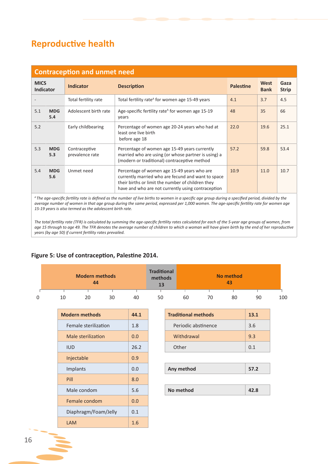### **Reproductive health**

| <b>Contraception and unmet need</b> |                   |                                  |                                                                                                                                                                                                              |                  |                     |                      |  |  |  |  |
|-------------------------------------|-------------------|----------------------------------|--------------------------------------------------------------------------------------------------------------------------------------------------------------------------------------------------------------|------------------|---------------------|----------------------|--|--|--|--|
| <b>MICS</b><br><b>Indicator</b>     |                   | <b>Indicator</b>                 | <b>Description</b>                                                                                                                                                                                           | <b>Palestine</b> | West<br><b>Bank</b> | Gaza<br><b>Strip</b> |  |  |  |  |
|                                     |                   | Total fertility rate             | Total fertility rate <sup>A</sup> for women age 15-49 years                                                                                                                                                  | 4.1              | 3.7                 | 4.5                  |  |  |  |  |
| 5.1                                 | <b>MDG</b><br>5.4 | Adolescent birth rate            | Age-specific fertility rate <sup>A</sup> for women age 15-19<br>years                                                                                                                                        | 48               | 35                  | 66                   |  |  |  |  |
| 5.2                                 |                   | Early childbearing               | Percentage of women age 20-24 years who had at<br>least one live birth<br>before age 18                                                                                                                      | 22.0             | 19.6                | 25.1                 |  |  |  |  |
| 5.3                                 | <b>MDG</b><br>5.3 | Contraceptive<br>prevalence rate | Percentage of women age 15-49 years currently<br>married who are using (or whose partner is using) a<br>(modern or traditional) contraceptive method                                                         | 57.2             | 59.8                | 53.4                 |  |  |  |  |
| 5.4                                 | <b>MDG</b><br>5.6 | Unmet need                       | Percentage of women age 15-49 years who are<br>currently married who are fecund and want to space<br>their births or limit the number of children they<br>have and who are not currently using contraception | 10.9             | 11.0                | 10.7                 |  |  |  |  |

*<sup>A</sup>The age-specific fertility rate is defined as the number of live births to women in a specific age group during a specified period, divided by the average number of women in that age group during the same period, expressed per 1,000 women. The age-specific fertility rate for women age 15-19 years is also termed as the adolescent birth rate.*

*The total fertility rate (TFR) is calculated by summing the age-specific fertility rates calculated for each of the 5-year age groups of women, from*  age 15 through to age 49. The TFR denotes the average number of children to which a woman will have given birth by the end of her reproductive *years (by age 50) if current fertility rates prevailed.*

#### **Figure 5: Use of contraception, Palestine 2014.**

| <b>Modern methods</b><br>44 |    | <b>Traditional</b><br>methods<br>13 |    |    | No method<br>43 |    |    |    |     |
|-----------------------------|----|-------------------------------------|----|----|-----------------|----|----|----|-----|
|                             |    |                                     |    |    |                 |    |    |    |     |
| 10                          | 20 | 30                                  | 40 | 50 | 60              | 70 | 80 | 90 | 100 |

| <b>Modern methods</b> | 44.1 |
|-----------------------|------|
| Female sterilization  | 1.8  |
| Male sterilization    | 0.0  |
| <b>IUD</b>            | 26.2 |
| Injectable            | 0.9  |
| Implants              | 0.0  |
| Pill                  | 8.0  |
| Male condom           | 5.6  |
| Female condom         | 0.0  |
| Diaphragm/Foam/Jelly  | 0.1  |
| LAM                   | 1.6  |

| <b>Modern methods</b> | 44.1 | <b>Traditional methods</b> | 13.1 |
|-----------------------|------|----------------------------|------|
| Female sterilization  | 1.8  | Periodic abstinence        | 3.6  |
| Male sterilization    | 0.0  | Withdrawal                 | 9.3  |
| <b>IUD</b>            | 26.2 | Other                      | 0.1  |

| Implants | 0.0 | Any method | 57.2 |
|----------|-----|------------|------|
|          |     |            |      |

| Male condom | 5.6 | No method | 42.8 |
|-------------|-----|-----------|------|
|             |     |           |      |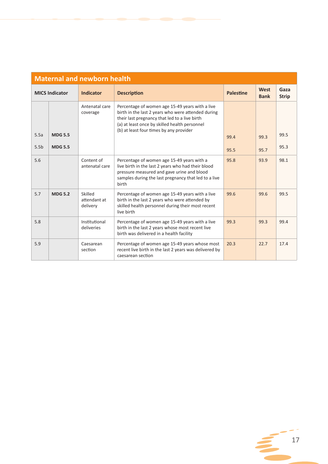| <b>Maternal and newborn health</b> |                       |                                     |                                                                                                                                                                                                                                                    |                  |                     |                      |  |  |  |  |
|------------------------------------|-----------------------|-------------------------------------|----------------------------------------------------------------------------------------------------------------------------------------------------------------------------------------------------------------------------------------------------|------------------|---------------------|----------------------|--|--|--|--|
|                                    | <b>MICS Indicator</b> | <b>Indicator</b>                    | <b>Description</b>                                                                                                                                                                                                                                 | <b>Palestine</b> | West<br><b>Bank</b> | Gaza<br><b>Strip</b> |  |  |  |  |
|                                    |                       | Antenatal care<br>coverage          | Percentage of women age 15-49 years with a live<br>birth in the last 2 years who were attended during<br>their last pregnancy that led to a live birth<br>(a) at least once by skilled health personnel<br>(b) at least four times by any provider |                  |                     |                      |  |  |  |  |
| 5.5a                               | <b>MDG 5.5</b>        |                                     |                                                                                                                                                                                                                                                    | 99.4             | 99.3                | 99.5                 |  |  |  |  |
| 5.5 <sub>b</sub>                   | <b>MDG 5.5</b>        |                                     |                                                                                                                                                                                                                                                    | 95.5             | 95.7                | 95.3                 |  |  |  |  |
| 5.6                                |                       | Content of<br>antenatal care        | Percentage of women age 15-49 years with a<br>live birth in the last 2 years who had their blood<br>pressure measured and gave urine and blood<br>samples during the last pregnancy that led to a live<br>birth                                    | 95.8             | 93.9                | 98.1                 |  |  |  |  |
| 5.7                                | <b>MDG 5.2</b>        | Skilled<br>attendant at<br>delivery | Percentage of women age 15-49 years with a live<br>birth in the last 2 years who were attended by<br>skilled health personnel during their most recent<br>live birth                                                                               | 99.6             | 99.6                | 99.5                 |  |  |  |  |
| 5.8                                |                       | Institutional<br>deliveries         | Percentage of women age 15-49 years with a live<br>birth in the last 2 years whose most recent live<br>birth was delivered in a health facility                                                                                                    | 99.3             | 99.3                | 99.4                 |  |  |  |  |
| 5.9                                |                       | Caesarean<br>section                | Percentage of women age 15-49 years whose most<br>recent live birth in the last 2 years was delivered by<br>caesarean section                                                                                                                      | 20.3             | 22.7                | 17.4                 |  |  |  |  |

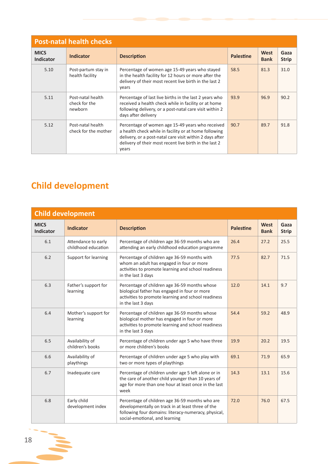| <b>Post-natal health checks</b> |                                               |                                                                                                                                                                                                                                          |                  |                     |                      |  |  |  |  |  |
|---------------------------------|-----------------------------------------------|------------------------------------------------------------------------------------------------------------------------------------------------------------------------------------------------------------------------------------------|------------------|---------------------|----------------------|--|--|--|--|--|
| <b>MICS</b><br><b>Indicator</b> | <b>Indicator</b>                              | <b>Description</b>                                                                                                                                                                                                                       | <b>Palestine</b> | West<br><b>Bank</b> | Gaza<br><b>Strip</b> |  |  |  |  |  |
| 5.10                            | Post-partum stay in<br>health facility        | Percentage of women age 15-49 years who stayed<br>in the health facility for 12 hours or more after the<br>delivery of their most recent live birth in the last 2<br>years                                                               | 58.5             | 81.3                | 31.0                 |  |  |  |  |  |
| 5.11                            | Post-natal health<br>check for the<br>newborn | Percentage of last live births in the last 2 years who<br>received a health check while in facility or at home<br>following delivery, or a post-natal care visit within 2<br>days after delivery                                         | 93.9             | 96.9                | 90.2                 |  |  |  |  |  |
| 5.12                            | Post-natal health<br>check for the mother     | Percentage of women age 15-49 years who received<br>a health check while in facility or at home following<br>delivery, or a post-natal care visit within 2 days after<br>delivery of their most recent live birth in the last 2<br>years | 90.7             | 89.7                | 91.8                 |  |  |  |  |  |

## **Child development**

| <b>Child development</b>        |                                            |                                                                                                                                                                                                |                  |                     |                      |  |  |  |  |  |
|---------------------------------|--------------------------------------------|------------------------------------------------------------------------------------------------------------------------------------------------------------------------------------------------|------------------|---------------------|----------------------|--|--|--|--|--|
| <b>MICS</b><br><b>Indicator</b> | <b>Indicator</b>                           | <b>Description</b>                                                                                                                                                                             | <b>Palestine</b> | West<br><b>Bank</b> | Gaza<br><b>Strip</b> |  |  |  |  |  |
| 6.1                             | Attendance to early<br>childhood education | Percentage of children age 36-59 months who are<br>attending an early childhood education programme                                                                                            | 26.4             | 27.2                | 25.5                 |  |  |  |  |  |
| 6.2                             | Support for learning                       | Percentage of children age 36-59 months with<br>whom an adult has engaged in four or more<br>activities to promote learning and school readiness<br>in the last 3 days                         | 77.5             | 82.7                | 71.5                 |  |  |  |  |  |
| 6.3                             | Father's support for<br>learning           | Percentage of children age 36-59 months whose<br>biological father has engaged in four or more<br>activities to promote learning and school readiness<br>in the last 3 days                    | 12.0             | 14.1                | 9.7                  |  |  |  |  |  |
| 6.4                             | Mother's support for<br>learning           | Percentage of children age 36-59 months whose<br>biological mother has engaged in four or more<br>activities to promote learning and school readiness<br>in the last 3 days                    | 54.4             | 59.2                | 48.9                 |  |  |  |  |  |
| 6.5                             | Availability of<br>children's books        | Percentage of children under age 5 who have three<br>or more children's books                                                                                                                  | 19.9             | 20.2                | 19.5                 |  |  |  |  |  |
| 6.6                             | Availability of<br>playthings              | Percentage of children under age 5 who play with<br>two or more types of playthings                                                                                                            | 69.1             | 71.9                | 65.9                 |  |  |  |  |  |
| 6.7                             | Inadequate care                            | Percentage of children under age 5 left alone or in<br>the care of another child younger than 10 years of<br>age for more than one hour at least once in the last<br>week                      | 14.3             | 13.1                | 15.6                 |  |  |  |  |  |
| 6.8                             | Early child<br>development index           | Percentage of children age 36-59 months who are<br>developmentally on track in at least three of the<br>following four domains: literacy-numeracy, physical,<br>social-emotional, and learning | 72.0             | 76.0                | 67.5                 |  |  |  |  |  |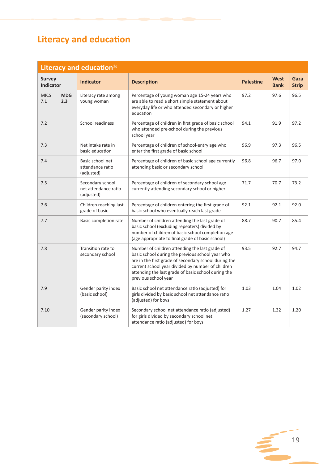## **Literacy and education**

| Literacy and education <sup>10</sup> |                   |                                                        |                                                                                                                                                                                                                                                                                                 |                  |                            |                      |  |  |
|--------------------------------------|-------------------|--------------------------------------------------------|-------------------------------------------------------------------------------------------------------------------------------------------------------------------------------------------------------------------------------------------------------------------------------------------------|------------------|----------------------------|----------------------|--|--|
| <b>Survey</b><br><b>Indicator</b>    |                   | <b>Indicator</b>                                       | <b>Description</b>                                                                                                                                                                                                                                                                              | <b>Palestine</b> | <b>West</b><br><b>Bank</b> | Gaza<br><b>Strip</b> |  |  |
| <b>MICS</b><br>7.1                   | <b>MDG</b><br>2.3 | Literacy rate among<br>young woman                     | Percentage of young woman age 15-24 years who<br>are able to read a short simple statement about<br>everyday life or who attended secondary or higher<br>education                                                                                                                              | 97.2             | 97.6                       | 96.5                 |  |  |
| 7.2                                  |                   | School readiness                                       | Percentage of children in first grade of basic school<br>who attended pre-school during the previous<br>school year                                                                                                                                                                             | 94.1             | 91.9                       | 97.2                 |  |  |
| 7.3                                  |                   | Net intake rate in<br>basic education                  | Percentage of children of school-entry age who<br>enter the first grade of basic school                                                                                                                                                                                                         | 96.9             | 97.3                       | 96.5                 |  |  |
| 7.4                                  |                   | Basic school net<br>attendance ratio<br>(adjusted)     | Percentage of children of basic school age currently<br>attending basic or secondary school                                                                                                                                                                                                     | 96.8             | 96.7                       | 97.0                 |  |  |
| 7.5                                  |                   | Secondary school<br>net attendance ratio<br>(adjusted) | Percentage of children of secondary school age<br>currently attending secondary school or higher                                                                                                                                                                                                | 71.7             | 70.7                       | 73.2                 |  |  |
| 7.6                                  |                   | Children reaching last<br>grade of basic               | Percentage of children entering the first grade of<br>basic school who eventually reach last grade                                                                                                                                                                                              | 92.1             | 92.1                       | 92.0                 |  |  |
| 7.7                                  |                   | Basic completion rate                                  | Number of children attending the last grade of<br>basic school (excluding repeaters) divided by<br>number of children of basic school completion age<br>(age appropriate to final grade of basic school)                                                                                        | 88.7             | 90.7                       | 85.4                 |  |  |
| 7.8                                  |                   | Transition rate to<br>secondary school                 | Number of children attending the last grade of<br>basic school during the previous school year who<br>are in the first grade of secondary school during the<br>current school year divided by number of children<br>attending the last grade of basic school during the<br>previous school year | 93.5             | 92.7                       | 94.7                 |  |  |
| 7.9                                  |                   | Gender parity index<br>(basic school)                  | Basic school net attendance ratio (adjusted) for<br>girls divided by basic school net attendance ratio<br>(adjusted) for boys                                                                                                                                                                   | 1.03             | 1.04                       | 1.02                 |  |  |
| 7.10                                 |                   | Gender parity index<br>(secondary school)              | Secondary school net attendance ratio (adjusted)<br>for girls divided by secondary school net<br>attendance ratio (adjusted) for boys                                                                                                                                                           | 1.27             | 1.32                       | 1.20                 |  |  |

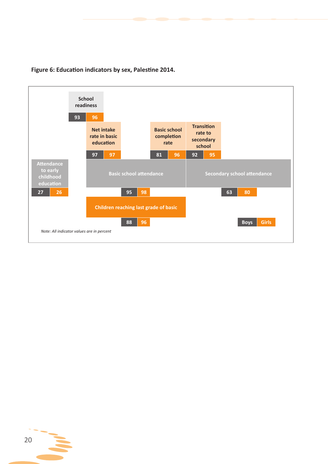

#### **Figure 6: Education indicators by sex, Palestine 2014.**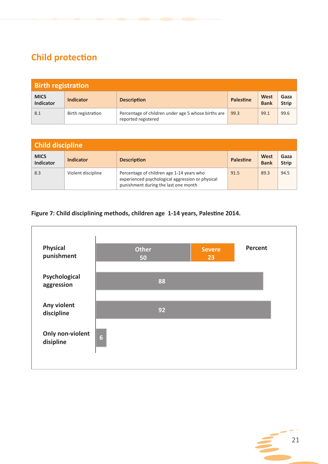## **Child protection**

| <b>Birth registration</b>       |                    |                                                                            |                  |                            |                      |  |  |
|---------------------------------|--------------------|----------------------------------------------------------------------------|------------------|----------------------------|----------------------|--|--|
| <b>MICS</b><br><b>Indicator</b> | <b>Indicator</b>   | <b>Description</b>                                                         | <b>Palestine</b> | <b>West</b><br><b>Bank</b> | Gaza<br><b>Strip</b> |  |  |
| 8.1                             | Birth registration | Percentage of children under age 5 whose births are<br>reported registered | 99.3             | 99.1                       | 99.6                 |  |  |

| Child discipline                |                    |                                                                                                                                       |                  |                     |                      |  |  |
|---------------------------------|--------------------|---------------------------------------------------------------------------------------------------------------------------------------|------------------|---------------------|----------------------|--|--|
| <b>MICS</b><br><b>Indicator</b> | Indicator          | <b>Description</b>                                                                                                                    | <b>Palestine</b> | West<br><b>Bank</b> | Gaza<br><b>Strip</b> |  |  |
| 8.3                             | Violent discipline | Percentage of children age 1-14 years who<br>experienced psychological aggression or physical<br>punishment during the last one month | 91.5             | 89.3                | 94.5                 |  |  |

#### **Figure 7: Child disciplining methods, children age 1-14 years, Palestine 2014.**



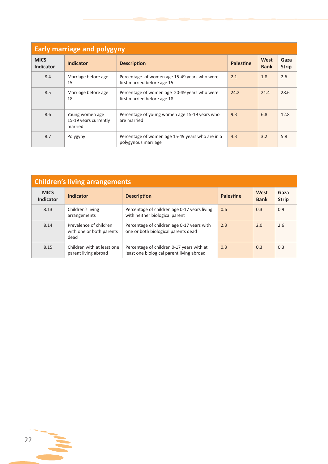| <b>Early marriage and polygyny</b> |                                                     |                                                                             |                  |                     |                      |  |  |  |
|------------------------------------|-----------------------------------------------------|-----------------------------------------------------------------------------|------------------|---------------------|----------------------|--|--|--|
| <b>MICS</b><br>Indicator           | <b>Indicator</b>                                    | <b>Description</b>                                                          | <b>Palestine</b> | West<br><b>Bank</b> | Gaza<br><b>Strip</b> |  |  |  |
| 8.4                                | Marriage before age<br>15                           | Percentage of women age 15-49 years who were<br>first married before age 15 | 2.1              | 1.8                 | 2.6                  |  |  |  |
| 8.5                                | Marriage before age<br>18                           | Percentage of women age 20-49 years who were<br>first married before age 18 | 24.2             | 21.4                | 28.6                 |  |  |  |
| 8.6                                | Young women age<br>15-19 years currently<br>married | Percentage of young women age 15-19 years who<br>are married                | 9.3              | 6.8                 | 12.8                 |  |  |  |
| 8.7                                | Polygyny                                            | Percentage of women age 15-49 years who are in a<br>polygynous marriage     | 4.3              | 3.2                 | 5.8                  |  |  |  |

| <b>Children's living arrangements</b> |                                                            |                                                                                        |                  |                     |                      |  |  |  |
|---------------------------------------|------------------------------------------------------------|----------------------------------------------------------------------------------------|------------------|---------------------|----------------------|--|--|--|
| <b>MICS</b><br>Indicator              | <b>Indicator</b>                                           | <b>Description</b>                                                                     | <b>Palestine</b> | West<br><b>Bank</b> | Gaza<br><b>Strip</b> |  |  |  |
| 8.13                                  | Children's living<br>arrangements                          | Percentage of children age 0-17 years living<br>with neither biological parent         | 0.6              | 0.3                 | 0.9                  |  |  |  |
| 8.14                                  | Prevalence of children<br>with one or both parents<br>dead | Percentage of children age 0-17 years with<br>one or both biological parents dead      | 2.3              | 2.0                 | 2.6                  |  |  |  |
| 8.15                                  | Children with at least one<br>parent living abroad         | Percentage of children 0-17 years with at<br>least one biological parent living abroad | 0.3              | 0.3                 | 0.3                  |  |  |  |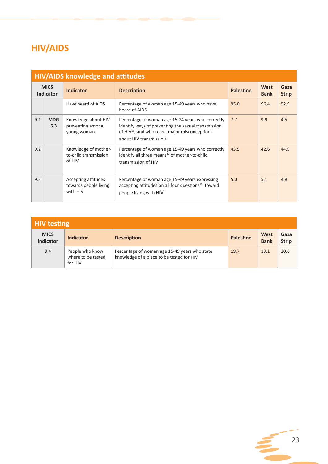## **HIV/AIDS**

| <b>HIV/AIDS knowledge and attitudes</b> |                   |                                                          |                                                                                                                                                                                                  |                  |                     |                      |  |  |
|-----------------------------------------|-------------------|----------------------------------------------------------|--------------------------------------------------------------------------------------------------------------------------------------------------------------------------------------------------|------------------|---------------------|----------------------|--|--|
| <b>MICS</b><br><b>Indicator</b>         |                   | <b>Indicator</b>                                         | <b>Description</b>                                                                                                                                                                               | <b>Palestine</b> | West<br><b>Bank</b> | Gaza<br><b>Strip</b> |  |  |
|                                         |                   | Have heard of AIDS                                       | Percentage of woman age 15-49 years who have<br>heard of AIDS                                                                                                                                    | 95.0             | 96.4                | 92.9                 |  |  |
| 9.1                                     | <b>MDG</b><br>6.3 | Knowledge about HIV<br>prevention among<br>young woman   | Percentage of woman age 15-24 years who correctly<br>identify ways of preventing the sexual transmission<br>of HIV <sup>11</sup> , and who reject major misconceptions<br>about HIV transmission | 7.7              | 9.9                 | 4.5                  |  |  |
| 9.2                                     |                   | Knowledge of mother-<br>to-child transmission<br>of HIV  | Percentage of woman age 15-49 years who correctly<br>identify all three means <sup>12</sup> of mother-to-child<br>transmission of HIV                                                            | 43.5             | 42.6                | 44.9                 |  |  |
| 9.3                                     |                   | Accepting attitudes<br>towards people living<br>with HIV | Percentage of woman age 15-49 years expressing<br>accepting attitudes on all four questions <sup>13</sup> toward<br>people living with HIV                                                       | 5.0              | 5.1                 | 4.8                  |  |  |

| <b>HIV testing</b>       |                                                  |                                                                                            |                  |                     |                      |  |  |  |
|--------------------------|--------------------------------------------------|--------------------------------------------------------------------------------------------|------------------|---------------------|----------------------|--|--|--|
| <b>MICS</b><br>Indicator | <b>Indicator</b>                                 | <b>Description</b>                                                                         | <b>Palestine</b> | West<br><b>Bank</b> | Gaza<br><b>Strip</b> |  |  |  |
| 9.4                      | People who know<br>where to be tested<br>for HIV | Percentage of woman age 15-49 years who state<br>knowledge of a place to be tested for HIV | 19.7             | 19.1                | 20.6                 |  |  |  |

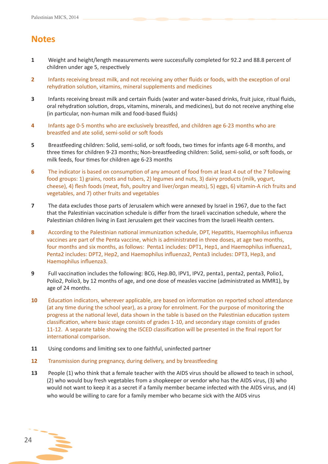### **Notes**

- **1** Weight and height/length measurements were successfully completed for 92.2 and 88.8 percent of children under age 5, respectively
- **2** Infants receiving breast milk, and not receiving any other fluids or foods, with the exception of oral rehydration solution, vitamins, mineral supplements and medicines
- **3** Infants receiving breast milk and certain fluids (water and water-based drinks, fruit juice, ritual fluids, oral rehydration solution, drops, vitamins, minerals, and medicines), but do not receive anything else (in particular, non-human milk and food-based fluids)
- **4** Infants age 0-5 months who are exclusively breastfed, and children age 6-23 months who are breastfed and ate solid, semi-solid or soft foods
- **5** Breastfeeding children: Solid, semi-solid, or soft foods, two times for infants age 6-8 months, and three times for children 9-23 months; Non-breastfeeding children: Solid, semi-solid, or soft foods, or milk feeds, four times for children age 6-23 months
- **6** The indicator is based on consumption of any amount of food from at least 4 out of the 7 following food groups: 1) grains, roots and tubers, 2) legumes and nuts, 3) dairy products (milk, yogurt, cheese), 4) flesh foods (meat, fish, poultry and liver/organ meats), 5) eggs, 6) vitamin-A rich fruits and vegetables, and 7) other fruits and vegetables
- **7** The data excludes those parts of Jerusalem which were annexed by Israel in 1967, due to the fact that the Palestinian vaccination schedule is differ from the Israeli vaccination schedule, where the Palestinian children living in East Jerusalem get their vaccines from the Israeli Health centers.
- **8** According to the Palestinian national immunization schedule, DPT, Hepatitis, Haemophilus influenza vaccines are part of the Penta vaccine, which is administrated in three doses, at age two months, four months and six months, as follows: Penta1 includes: DPT1, Hep1, and Haemophilus influenza1, Penta2 includes: DPT2, Hep2, and Haemophilus influenza2, Penta3 includes: DPT3, Hep3, and Haemophilus influenza3.
- **9** Full vaccination includes the following: BCG, Hep.B0, IPV1, IPV2, penta1, penta2, penta3, Polio1, Polio2, Polio3, by 12 months of age, and one dose of measles vaccine (administrated as MMR1), by age of 24 months.
- **10** Education indicators, wherever applicable, are based on information on reported school attendance (at any time during the school year), as a proxy for enrolment. For the purpose of monitoring the progress at the national level, data shown in the table is based on the Palestinian education system classification, where basic stage consists of grades 1-10, and secondary stage consists of grades 11-12. A separate table showing the ISCED classification will be presented in the final report for international comparison.
- **11** Using condoms and limiting sex to one faithful, uninfected partner
- **12** Transmission during pregnancy, during delivery, and by breastfeeding
- **13** People (1) who think that a female teacher with the AIDS virus should be allowed to teach in school, (2) who would buy fresh vegetables from a shopkeeper or vendor who has the AIDS virus, (3) who would not want to keep it as a secret if a family member became infected with the AIDS virus, and (4) who would be willing to care for a family member who became sick with the AIDS virus